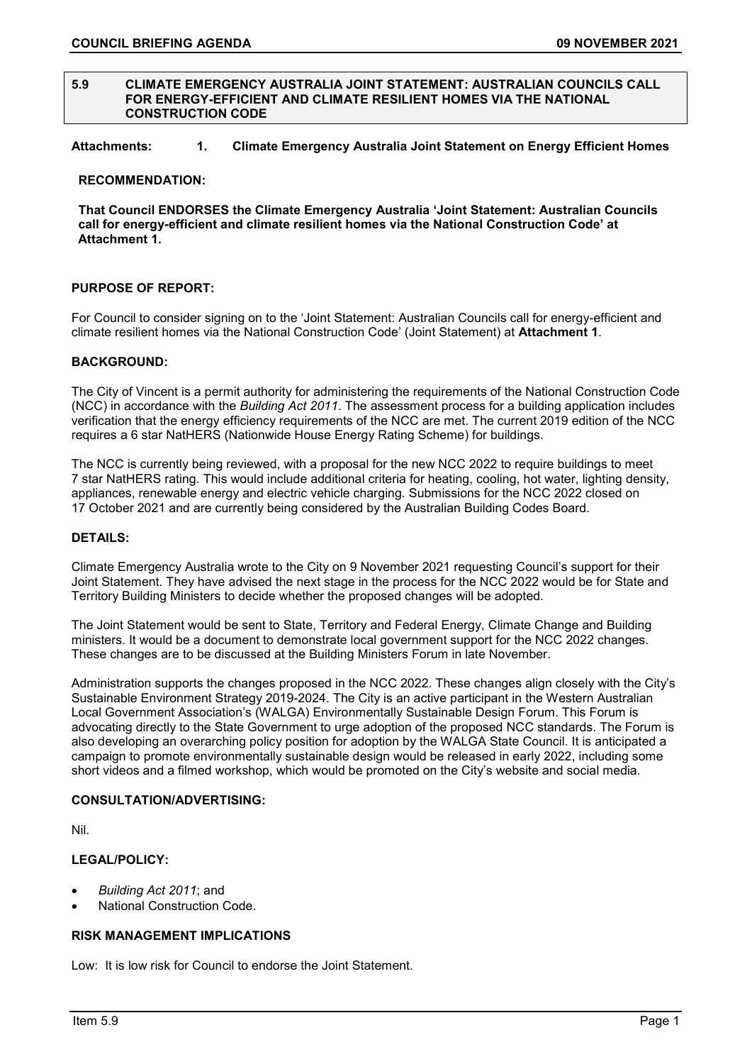#### **5.9 CLIMATE EMERGENCY AUSTRALIA JOINT STATEMENT: AUSTRALIAN COUNCILS CALL FOR ENERGY-EFFICIENT AND CLIMATE RESILIENT HOMES VIA THE NATIONAL CONSTRUCTION CODE**

# **Attachments: 1. Climate Emergency Australia Joint Statement on Energy Efficient Homes**

#### **RECOMMENDATION:**

**That Council ENDORSES the Climate Emergency Australia 'Joint Statement: Australian Councils call for energy-efficient and climate resilient homes via the National Construction Code' at Attachment 1.**

### **PURPOSE OF REPORT:**

For Council to consider signing on to the 'Joint Statement: Australian Councils call for energy-efficient and climate resilient homes via the National Construction Code' (Joint Statement) at **Attachment 1**.

#### **BACKGROUND:**

The City of Vincent is a permit authority for administering the requirements of the National Construction Code (NCC) in accordance with the *Building Act 2011*. The assessment process for a building application includes verification that the energy efficiency requirements of the NCC are met. The current 2019 edition of the NCC requires a 6 star NatHERS (Nationwide House Energy Rating Scheme) for buildings.

The NCC is currently being reviewed, with a proposal for the new NCC 2022 to require buildings to meet 7 star NatHERS rating. This would include additional criteria for heating, cooling, hot water, lighting density, appliances, renewable energy and electric vehicle charging. Submissions for the NCC 2022 closed on 17 October 2021 and are currently being considered by the Australian Building Codes Board.

# **DETAILS:**

Climate Emergency Australia wrote to the City on 9 November 2021 requesting Council's support for their Joint Statement. They have advised the next stage in the process for the NCC 2022 would be for State and Territory Building Ministers to decide whether the proposed changes will be adopted.

The Joint Statement would be sent to State, Territory and Federal Energy, Climate Change and Building ministers. It would be a document to demonstrate local government support for the NCC 2022 changes. These changes are to be discussed at the Building Ministers Forum in late November.

Administration supports the changes proposed in the NCC 2022. These changes align closely with the City's Sustainable Environment Strategy 2019-2024. The City is an active participant in the Western Australian Local Government Association's (WALGA) Environmentally Sustainable Design Forum. This Forum is advocating directly to the State Government to urge adoption of the proposed NCC standards. The Forum is also developing an overarching policy position for adoption by the WALGA State Council. It is anticipated a campaign to promote environmentally sustainable design would be released in early 2022, including some short videos and a filmed workshop, which would be promoted on the City's website and social media.

## **CONSULTATION/ADVERTISING:**

Nil.

# **LEGAL/POLICY:**

- *Building Act 2011*; and
- National Construction Code.

# **RISK MANAGEMENT IMPLICATIONS**

Low: It is low risk for Council to endorse the Joint Statement.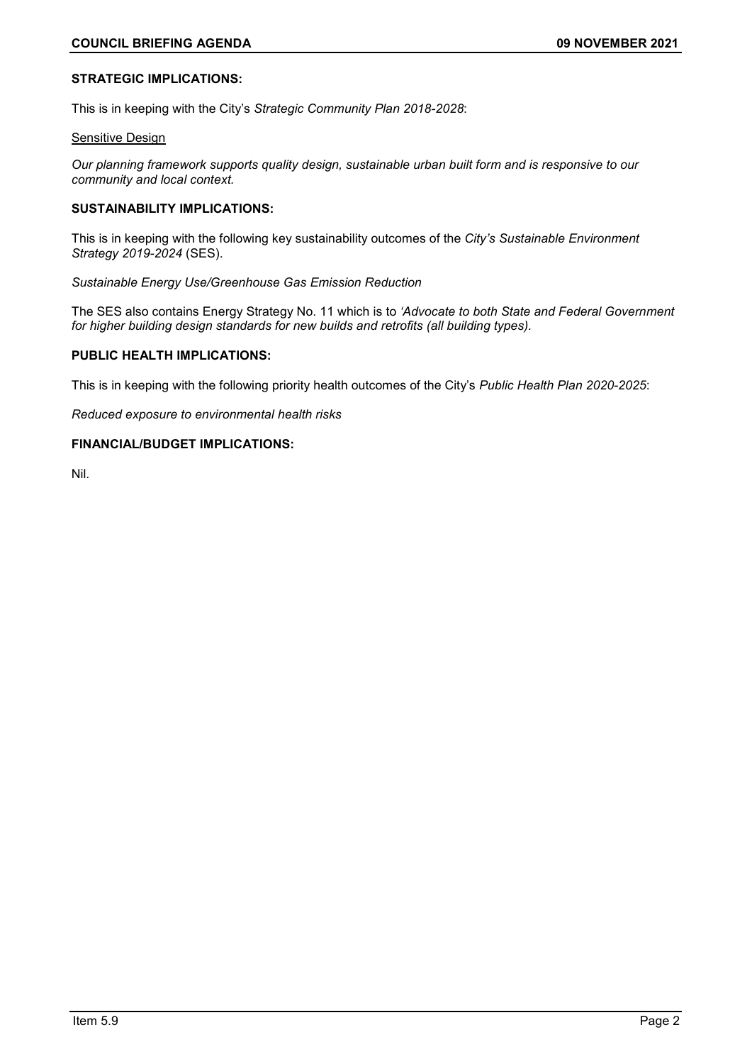# **STRATEGIC IMPLICATIONS:**

This is in keeping with the City's *Strategic Community Plan 2018-2028*:

#### **Sensitive Design**

*Our planning framework supports quality design, sustainable urban built form and is responsive to our community and local context.*

# **SUSTAINABILITY IMPLICATIONS:**

This is in keeping with the following key sustainability outcomes of the *City's Sustainable Environment Strategy 2019-2024* (SES).

*Sustainable Energy Use/Greenhouse Gas Emission Reduction*

The SES also contains Energy Strategy No. 11 which is to *'Advocate to both State and Federal Government for higher building design standards for new builds and retrofits (all building types).*

# **PUBLIC HEALTH IMPLICATIONS:**

This is in keeping with the following priority health outcomes of the City's *Public Health Plan 2020-2025*:

*Reduced exposure to environmental health risks*

## **FINANCIAL/BUDGET IMPLICATIONS:**

Nil.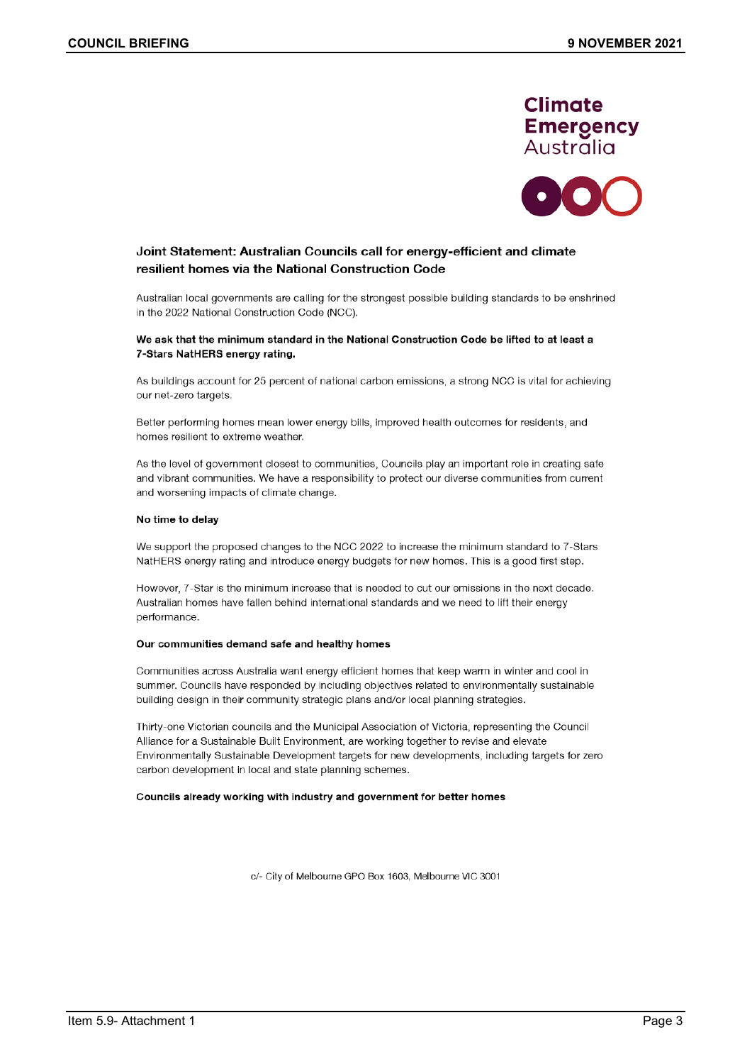



# Joint Statement: Australian Councils call for energy-efficient and climate resilient homes via the National Construction Code

Australian local governments are calling for the strongest possible building standards to be enshrined in the 2022 National Construction Code (NCC).

#### We ask that the minimum standard in the National Construction Code be lifted to at least a 7-Stars NatHERS energy rating.

As buildings account for 25 percent of national carbon emissions, a strong NCC is vital for achieving our net-zero targets.

Better performing homes mean lower energy bills, improved health outcomes for residents, and homes resilient to extreme weather.

As the level of government closest to communities, Councils play an important role in creating safe and vibrant communities. We have a responsibility to protect our diverse communities from current and worsening impacts of climate change.

#### No time to delay

We support the proposed changes to the NCC 2022 to increase the minimum standard to 7-Stars NatHERS energy rating and introduce energy budgets for new homes. This is a good first step.

However, 7-Star is the minimum increase that is needed to cut our emissions in the next decade. Australian homes have fallen behind international standards and we need to lift their energy performance.

#### Our communities demand safe and healthy homes

Communities across Australia want energy efficient homes that keep warm in winter and cool in summer. Councils have responded by including objectives related to environmentally sustainable building design in their community strategic plans and/or local planning strategies.

Thirty-one Victorian councils and the Municipal Association of Victoria, representing the Council Alliance for a Sustainable Built Environment, are working together to revise and elevate Environmentally Sustainable Development targets for new developments, including targets for zero carbon development in local and state planning schemes.

#### Councils already working with industry and government for better homes

c/- City of Melbourne GPO Box 1603, Melbourne VIC 3001